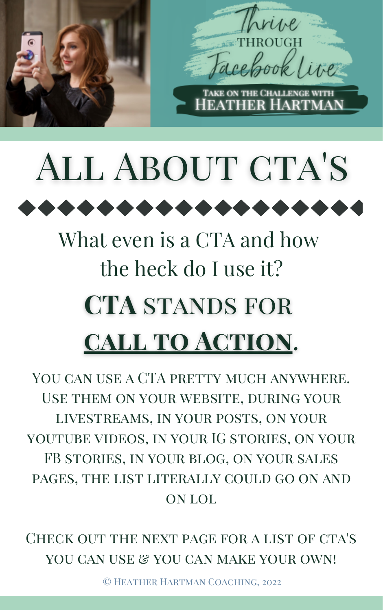

# ALL ABOUT CTA'S

What even is a CTA and how the heck do I use it?

CTA STANDS FOR

### CALL TO ACTION.

YOU CAN USE A CTA PRETTY MUCH ANYWHERE. Use them on your website, during your livestreams, in your posts, on your YOUTUBE VIDEOS, IN YOUR IG STORIES, ON YOUR FB STORIES, IN YOUR BLOG, ON YOUR SALES PAGES, THE LIST LITERALLY COULD GO ON AND on lol

Check out the next page for a list of cta's YOU CAN USE & YOU CAN MAKE YOUR OWN!

© Heather Hartman Coaching, 2022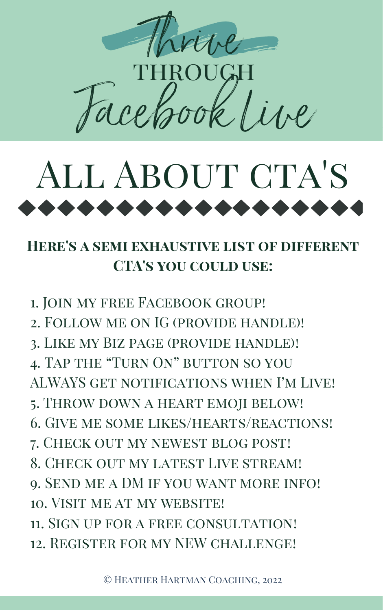#### **Here's a semi exhaustive list of different CTA's you could use:**

1. Join my free Facebook group! FOLLOW ME ON IG (PROVIDE HANDLE)! 3. Like my Biz page (provide handle)! 4. TAP THE "TURN ON" BUTTON SO YOU ALWAYS GET NOTIFICATIONS WHEN I'M LIVE! 5. Throw down a heart emoji below! 6. Give me some likes/hearts/reactions! 7. CHECK OUT MY NEWEST BLOG POST! 8. Check out my latest Live stream! 9. Send me a DM if you want more info! 10. VISIT ME AT MY WEBSITE! 11. SIGN UP FOR A FREE CONSULTATION! 12. Register for my NEW challenge!



## ALL ABOUT CTA'S  $\bullet\bullet\bullet\bullet\bullet\bullet\bullet\bullet\bullet\bullet$